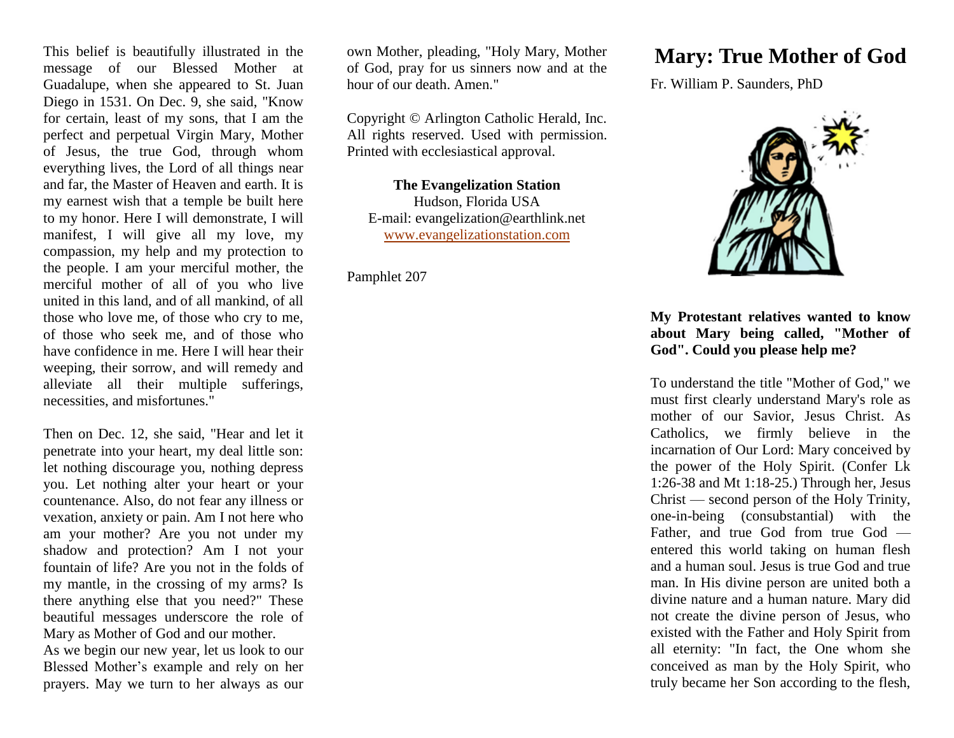This belief is beautifully illustrated in the message of our Blessed Mother at Guadalupe, when she appeared to St. Juan Diego in 1531. On Dec. 9, she said, "Know for certain, least of my sons, that I am the perfect and perpetual Virgin Mary, Mother of Jesus, the true God, through whom everything lives, the Lord of all things near and far, the Master of Heaven and earth. It is my earnest wish that a temple be built here to my honor. Here I will demonstrate, I will manifest, I will give all my love, my compassion, my help and my protection to the people. I am your merciful mother, the merciful mother of all of you who live united in this land, and of all mankind, of all those who love me, of those who cry to me, of those who seek me, and of those who have confidence in me. Here I will hear their weeping, their sorrow, and will remedy and alleviate all their multiple sufferings, necessities, and misfortunes."

Then on Dec. 12, she said, "Hear and let it penetrate into your heart, my deal little son: let nothing discourage you, nothing depress you. Let nothing alter your heart or your countenance. Also, do not fear any illness or vexation, anxiety or pain. Am I not here who am your mother? Are you not under my shadow and protection? Am I not your fountain of life? Are you not in the folds of my mantle, in the crossing of my arms? Is there anything else that you need?" These beautiful messages underscore the role of Mary as Mother of God and our mother.

As we begin our new year, let us look to our Blessed Mother's example and rely on her prayers. May we turn to her always as our

own Mother, pleading, "Holy Mary, Mother of God, pray for us sinners now and at the hour of our death. Amen."

Copyright © Arlington Catholic Herald, Inc. All rights reserved. Used with permission. Printed with ecclesiastical approval.

**The Evangelization Station** Hudson, Florida USA E-mail: evangelization@earthlink.net [www.evangelizationstation.com](http://www.pjpiisoe.org/)

Pamphlet 207

## **Mary: True Mother of God**

Fr. William P. Saunders, PhD



## **My Protestant relatives wanted to know about Mary being called, "Mother of God". Could you please help me?**

To understand the title "Mother of God," we must first clearly understand Mary's role as mother of our Savior, Jesus Christ. As Catholics, we firmly believe in the incarnation of Our Lord: Mary conceived by the power of the Holy Spirit. (Confer Lk 1:26-38 and Mt 1:18-25.) Through her, Jesus Christ — second person of the Holy Trinity, one-in-being (consubstantial) with the Father, and true God from true God entered this world taking on human flesh and a human soul. Jesus is true God and true man. In His divine person are united both a divine nature and a human nature. Mary did not create the divine person of Jesus, who existed with the Father and Holy Spirit from all eternity: "In fact, the One whom she conceived as man by the Holy Spirit, who truly became her Son according to the flesh,